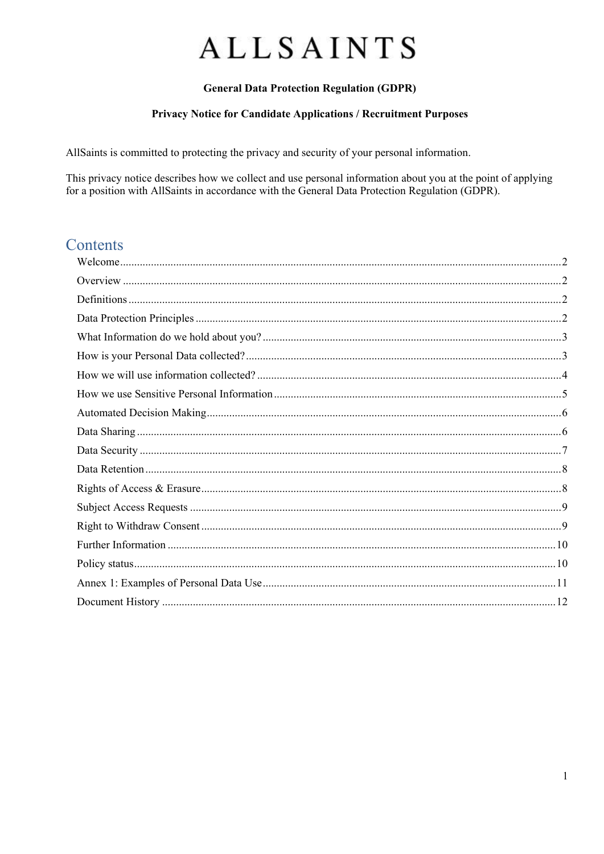## **General Data Protection Regulation (GDPR)**

#### Privacy Notice for Candidate Applications / Recruitment Purposes

AllSaints is committed to protecting the privacy and security of your personal information.

This privacy notice describes how we collect and use personal information about you at the point of applying for a position with AllSaints in accordance with the General Data Protection Regulation (GDPR).

## Contents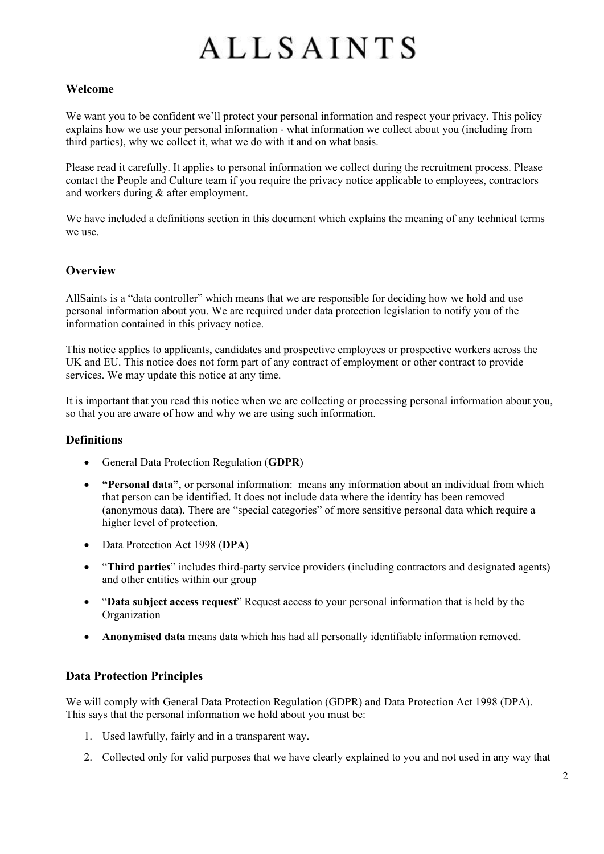### <span id="page-1-0"></span>**Welcome**

We want you to be confident we'll protect your personal information and respect your privacy. This policy explains how we use your personal information - what information we collect about you (including from third parties), why we collect it, what we do with it and on what basis.

Please read it carefully. It applies to personal information we collect during the recruitment process. Please contact the People and Culture team if you require the privacy notice applicable to employees, contractors and workers during & after employment.

We have included a definitions section in this document which explains the meaning of any technical terms we use.

### <span id="page-1-1"></span>**Overview**

AllSaints is a "data controller" which means that we are responsible for deciding how we hold and use personal information about you. We are required under data protection legislation to notify you of the information contained in this privacy notice.

This notice applies to applicants, candidates and prospective employees or prospective workers across the UK and EU. This notice does not form part of any contract of employment or other contract to provide services. We may update this notice at any time.

It is important that you read this notice when we are collecting or processing personal information about you, so that you are aware of how and why we are using such information.

### <span id="page-1-2"></span>**Definitions**

- General Data Protection Regulation (**GDPR**)
- **"Personal data"**, or personal information: means any information about an individual from which that person can be identified. It does not include data where the identity has been removed (anonymous data). There are "special categories" of more sensitive personal data which require a higher level of protection.
- Data Protection Act 1998 (**DPA**)
- "**Third parties**" includes third-party service providers (including contractors and designated agents) and other entities within our group
- "**Data subject access request**" Request access to your personal information that is held by the Organization
- **Anonymised data** means data which has had all personally identifiable information removed.

### <span id="page-1-3"></span>**Data Protection Principles**

We will comply with General Data Protection Regulation (GDPR) and Data Protection Act 1998 (DPA). This says that the personal information we hold about you must be:

- 1. Used lawfully, fairly and in a transparent way.
- 2. Collected only for valid purposes that we have clearly explained to you and not used in any way that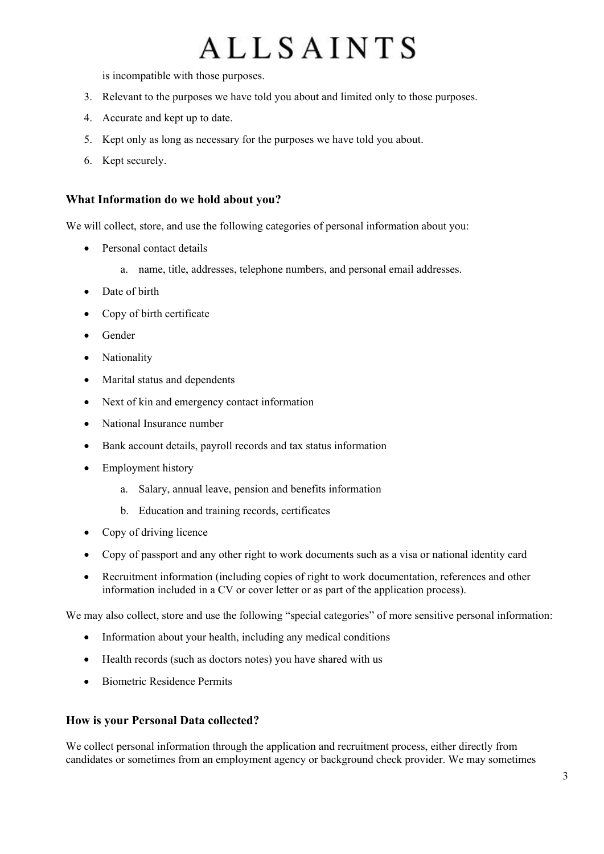is incompatible with those purposes.

- 3. Relevant to the purposes we have told you about and limited only to those purposes.
- 4. Accurate and kept up to date.
- 5. Kept only as long as necessary for the purposes we have told you about.
- 6. Kept securely.

### <span id="page-2-0"></span>**What Information do we hold about you?**

We will collect, store, and use the following categories of personal information about you:

- Personal contact details
	- a. name, title, addresses, telephone numbers, and personal email addresses.
- Date of birth
- Copy of birth certificate
- Gender
- Nationality
- Marital status and dependents
- Next of kin and emergency contact information
- National Insurance number
- Bank account details, payroll records and tax status information
- Employment history
	- a. Salary, annual leave, pension and benefits information
	- b. Education and training records, certificates
- Copy of driving licence
- Copy of passport and any other right to work documents such as a visa or national identity card
- Recruitment information (including copies of right to work documentation, references and other information included in a CV or cover letter or as part of the application process).

We may also collect, store and use the following "special categories" of more sensitive personal information:

- Information about your health, including any medical conditions
- Health records (such as doctors notes) you have shared with us
- Biometric Residence Permits

### <span id="page-2-1"></span>**How is your Personal Data collected?**

We collect personal information through the application and recruitment process, either directly from candidates or sometimes from an employment agency or background check provider. We may sometimes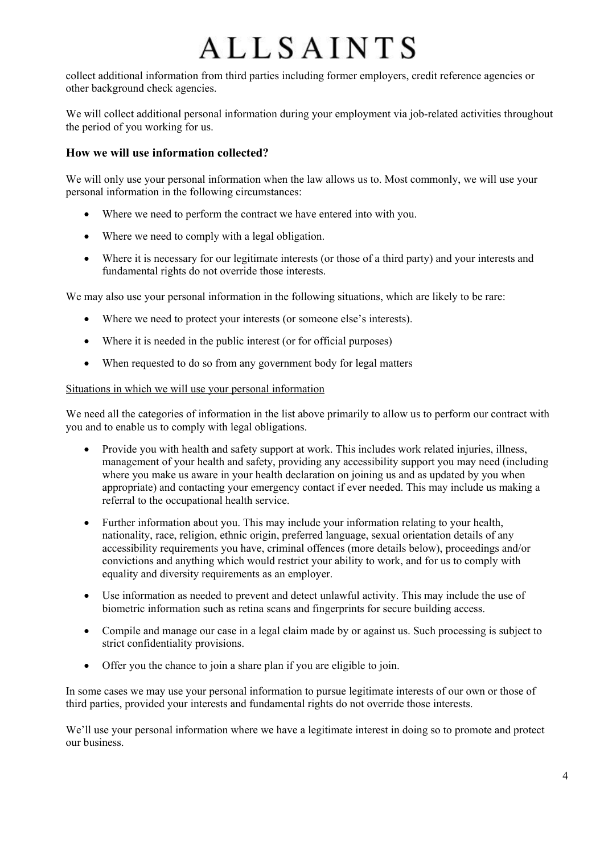collect additional information from third parties including former employers, credit reference agencies or other background check agencies.

We will collect additional personal information during your employment via job-related activities throughout the period of you working for us.

## <span id="page-3-0"></span>**How we will use information collected?**

We will only use your personal information when the law allows us to. Most commonly, we will use your personal information in the following circumstances:

- Where we need to perform the contract we have entered into with you.
- Where we need to comply with a legal obligation.
- Where it is necessary for our legitimate interests (or those of a third party) and your interests and fundamental rights do not override those interests.

We may also use your personal information in the following situations, which are likely to be rare:

- Where we need to protect your interests (or someone else's interests).
- Where it is needed in the public interest (or for official purposes)
- When requested to do so from any government body for legal matters

### Situations in which we will use your personal information

We need all the categories of information in the list above primarily to allow us to perform our contract with you and to enable us to comply with legal obligations.

- Provide you with health and safety support at work. This includes work related injuries, illness, management of your health and safety, providing any accessibility support you may need (including where you make us aware in your health declaration on joining us and as updated by you when appropriate) and contacting your emergency contact if ever needed. This may include us making a referral to the occupational health service.
- Further information about you. This may include your information relating to your health, nationality, race, religion, ethnic origin, preferred language, sexual orientation details of any accessibility requirements you have, criminal offences (more details below), proceedings and/or convictions and anything which would restrict your ability to work, and for us to comply with equality and diversity requirements as an employer.
- Use information as needed to prevent and detect unlawful activity. This may include the use of biometric information such as retina scans and fingerprints for secure building access.
- Compile and manage our case in a legal claim made by or against us. Such processing is subject to strict confidentiality provisions.
- Offer you the chance to join a share plan if you are eligible to join.

In some cases we may use your personal information to pursue legitimate interests of our own or those of third parties, provided your interests and fundamental rights do not override those interests.

We'll use your personal information where we have a legitimate interest in doing so to promote and protect our business.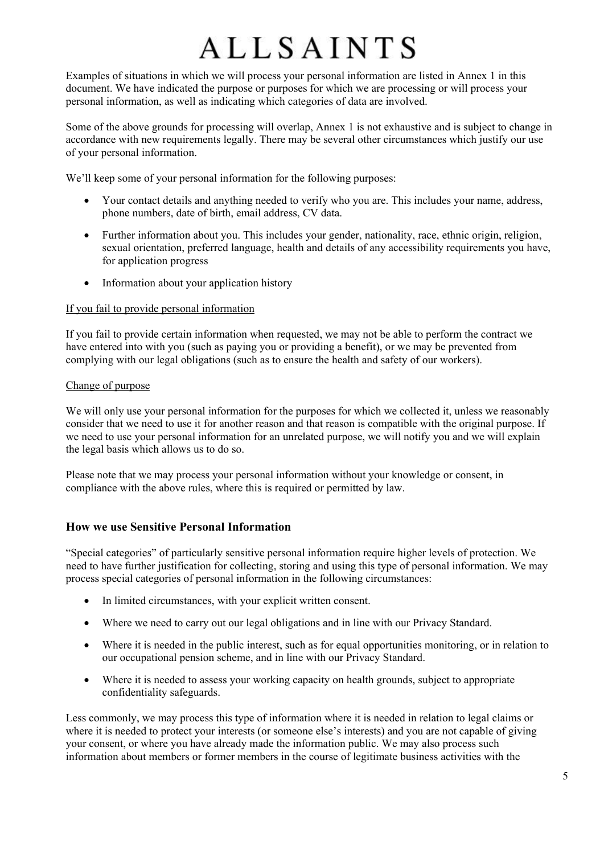Examples of situations in which we will process your personal information are listed in Annex 1 in this document. We have indicated the purpose or purposes for which we are processing or will process your personal information, as well as indicating which categories of data are involved.

Some of the above grounds for processing will overlap, Annex 1 is not exhaustive and is subject to change in accordance with new requirements legally. There may be several other circumstances which justify our use of your personal information.

We'll keep some of your personal information for the following purposes:

- Your contact details and anything needed to verify who you are. This includes your name, address, phone numbers, date of birth, email address, CV data.
- Further information about you. This includes your gender, nationality, race, ethnic origin, religion, sexual orientation, preferred language, health and details of any accessibility requirements you have, for application progress
- Information about your application history

### If you fail to provide personal information

If you fail to provide certain information when requested, we may not be able to perform the contract we have entered into with you (such as paying you or providing a benefit), or we may be prevented from complying with our legal obligations (such as to ensure the health and safety of our workers).

#### Change of purpose

We will only use your personal information for the purposes for which we collected it, unless we reasonably consider that we need to use it for another reason and that reason is compatible with the original purpose. If we need to use your personal information for an unrelated purpose, we will notify you and we will explain the legal basis which allows us to do so.

Please note that we may process your personal information without your knowledge or consent, in compliance with the above rules, where this is required or permitted by law.

### <span id="page-4-0"></span>**How we use Sensitive Personal Information**

"Special categories" of particularly sensitive personal information require higher levels of protection. We need to have further justification for collecting, storing and using this type of personal information. We may process special categories of personal information in the following circumstances:

- In limited circumstances, with your explicit written consent.
- Where we need to carry out our legal obligations and in line with our Privacy Standard.
- Where it is needed in the public interest, such as for equal opportunities monitoring, or in relation to our occupational pension scheme, and in line with our Privacy Standard.
- Where it is needed to assess your working capacity on health grounds, subject to appropriate confidentiality safeguards.

Less commonly, we may process this type of information where it is needed in relation to legal claims or where it is needed to protect your interests (or someone else's interests) and you are not capable of giving your consent, or where you have already made the information public. We may also process such information about members or former members in the course of legitimate business activities with the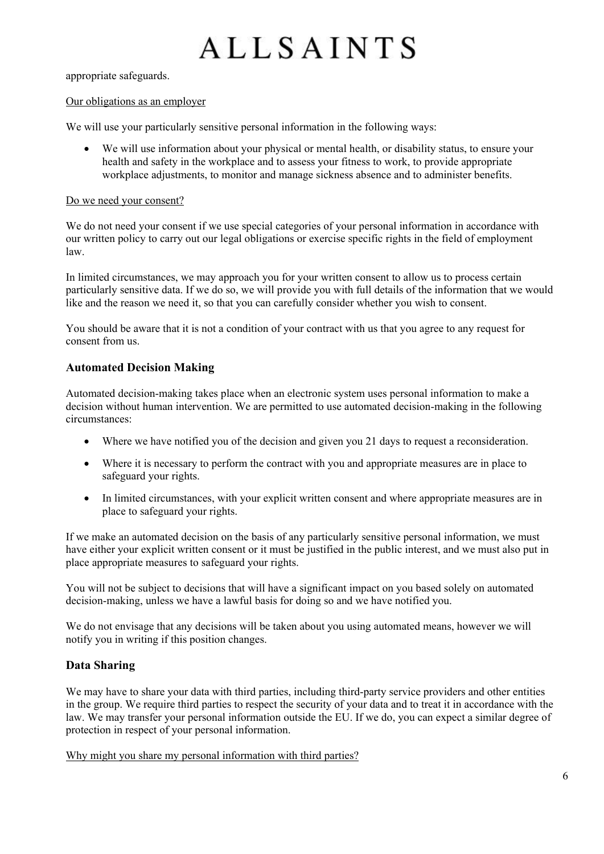appropriate safeguards.

#### Our obligations as an employer

We will use your particularly sensitive personal information in the following ways:

• We will use information about your physical or mental health, or disability status, to ensure your health and safety in the workplace and to assess your fitness to work, to provide appropriate workplace adjustments, to monitor and manage sickness absence and to administer benefits.

#### Do we need your consent?

We do not need your consent if we use special categories of your personal information in accordance with our written policy to carry out our legal obligations or exercise specific rights in the field of employment law.

In limited circumstances, we may approach you for your written consent to allow us to process certain particularly sensitive data. If we do so, we will provide you with full details of the information that we would like and the reason we need it, so that you can carefully consider whether you wish to consent.

You should be aware that it is not a condition of your contract with us that you agree to any request for consent from us.

## <span id="page-5-0"></span>**Automated Decision Making**

Automated decision-making takes place when an electronic system uses personal information to make a decision without human intervention. We are permitted to use automated decision-making in the following circumstances:

- Where we have notified you of the decision and given you 21 days to request a reconsideration.
- Where it is necessary to perform the contract with you and appropriate measures are in place to safeguard your rights.
- In limited circumstances, with your explicit written consent and where appropriate measures are in place to safeguard your rights.

If we make an automated decision on the basis of any particularly sensitive personal information, we must have either your explicit written consent or it must be justified in the public interest, and we must also put in place appropriate measures to safeguard your rights.

You will not be subject to decisions that will have a significant impact on you based solely on automated decision-making, unless we have a lawful basis for doing so and we have notified you.

We do not envisage that any decisions will be taken about you using automated means, however we will notify you in writing if this position changes.

## <span id="page-5-1"></span>**Data Sharing**

We may have to share your data with third parties, including third-party service providers and other entities in the group. We require third parties to respect the security of your data and to treat it in accordance with the law. We may transfer your personal information outside the EU. If we do, you can expect a similar degree of protection in respect of your personal information.

Why might you share my personal information with third parties?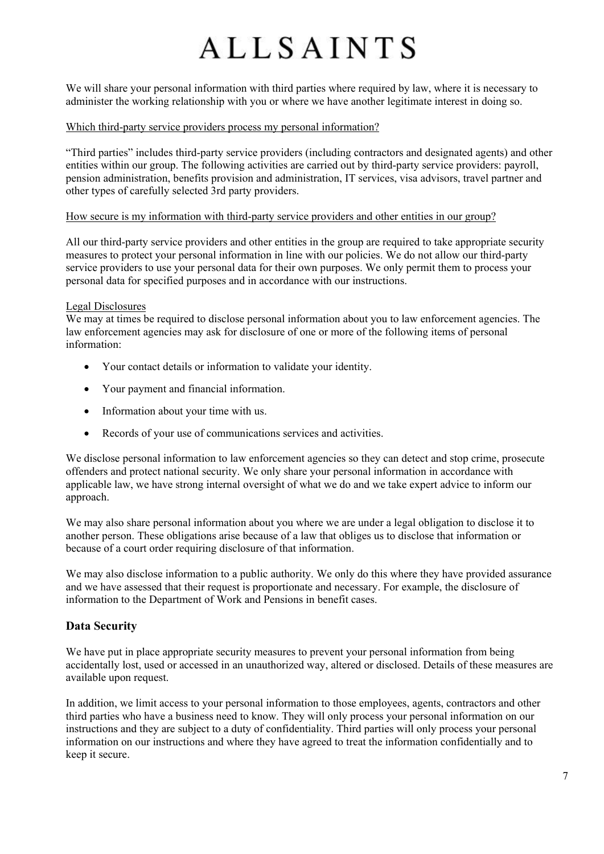We will share your personal information with third parties where required by law, where it is necessary to administer the working relationship with you or where we have another legitimate interest in doing so.

#### Which third-party service providers process my personal information?

"Third parties" includes third-party service providers (including contractors and designated agents) and other entities within our group. The following activities are carried out by third-party service providers: payroll, pension administration, benefits provision and administration, IT services, visa advisors, travel partner and other types of carefully selected 3rd party providers.

#### How secure is my information with third-party service providers and other entities in our group?

All our third-party service providers and other entities in the group are required to take appropriate security measures to protect your personal information in line with our policies. We do not allow our third-party service providers to use your personal data for their own purposes. We only permit them to process your personal data for specified purposes and in accordance with our instructions.

#### Legal Disclosures

We may at times be required to disclose personal information about you to law enforcement agencies. The law enforcement agencies may ask for disclosure of one or more of the following items of personal information:

- Your contact details or information to validate your identity.
- Your payment and financial information.
- Information about your time with us.
- Records of your use of communications services and activities.

We disclose personal information to law enforcement agencies so they can detect and stop crime, prosecute offenders and protect national security. We only share your personal information in accordance with applicable law, we have strong internal oversight of what we do and we take expert advice to inform our approach.

We may also share personal information about you where we are under a legal obligation to disclose it to another person. These obligations arise because of a law that obliges us to disclose that information or because of a court order requiring disclosure of that information.

We may also disclose information to a public authority. We only do this where they have provided assurance and we have assessed that their request is proportionate and necessary. For example, the disclosure of information to the Department of Work and Pensions in benefit cases.

### <span id="page-6-0"></span>**Data Security**

We have put in place appropriate security measures to prevent your personal information from being accidentally lost, used or accessed in an unauthorized way, altered or disclosed. Details of these measures are available upon request.

In addition, we limit access to your personal information to those employees, agents, contractors and other third parties who have a business need to know. They will only process your personal information on our instructions and they are subject to a duty of confidentiality. Third parties will only process your personal information on our instructions and where they have agreed to treat the information confidentially and to keep it secure.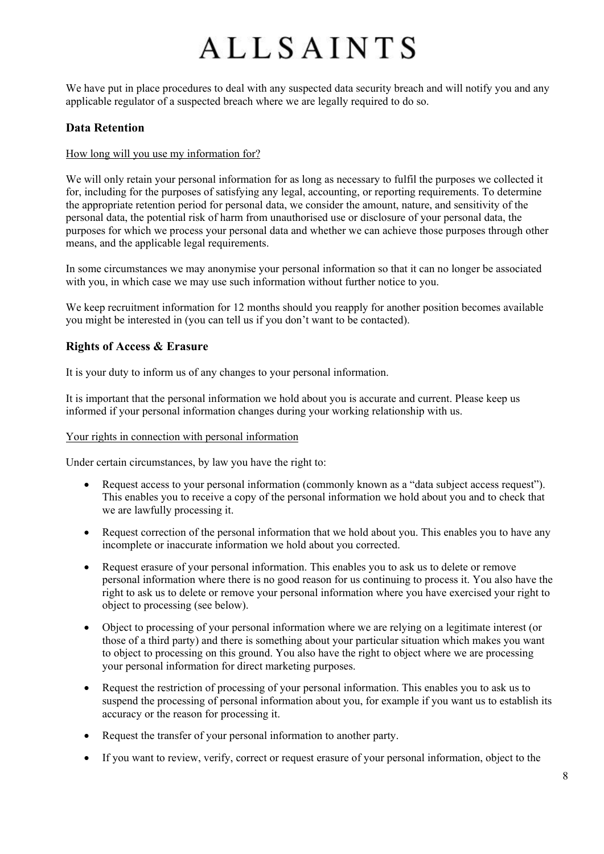We have put in place procedures to deal with any suspected data security breach and will notify you and any applicable regulator of a suspected breach where we are legally required to do so.

### <span id="page-7-0"></span>**Data Retention**

#### How long will you use my information for?

We will only retain your personal information for as long as necessary to fulfil the purposes we collected it for, including for the purposes of satisfying any legal, accounting, or reporting requirements. To determine the appropriate retention period for personal data, we consider the amount, nature, and sensitivity of the personal data, the potential risk of harm from unauthorised use or disclosure of your personal data, the purposes for which we process your personal data and whether we can achieve those purposes through other means, and the applicable legal requirements.

In some circumstances we may anonymise your personal information so that it can no longer be associated with you, in which case we may use such information without further notice to you.

We keep recruitment information for 12 months should you reapply for another position becomes available you might be interested in (you can tell us if you don't want to be contacted).

## <span id="page-7-1"></span>**Rights of Access & Erasure**

It is your duty to inform us of any changes to your personal information.

It is important that the personal information we hold about you is accurate and current. Please keep us informed if your personal information changes during your working relationship with us.

#### Your rights in connection with personal information

Under certain circumstances, by law you have the right to:

- Request access to your personal information (commonly known as a "data subject access request"). This enables you to receive a copy of the personal information we hold about you and to check that we are lawfully processing it.
- Request correction of the personal information that we hold about you. This enables you to have any incomplete or inaccurate information we hold about you corrected.
- Request erasure of your personal information. This enables you to ask us to delete or remove personal information where there is no good reason for us continuing to process it. You also have the right to ask us to delete or remove your personal information where you have exercised your right to object to processing (see below).
- Object to processing of your personal information where we are relying on a legitimate interest (or those of a third party) and there is something about your particular situation which makes you want to object to processing on this ground. You also have the right to object where we are processing your personal information for direct marketing purposes.
- Request the restriction of processing of your personal information. This enables you to ask us to suspend the processing of personal information about you, for example if you want us to establish its accuracy or the reason for processing it.
- Request the transfer of your personal information to another party.
- If you want to review, verify, correct or request erasure of your personal information, object to the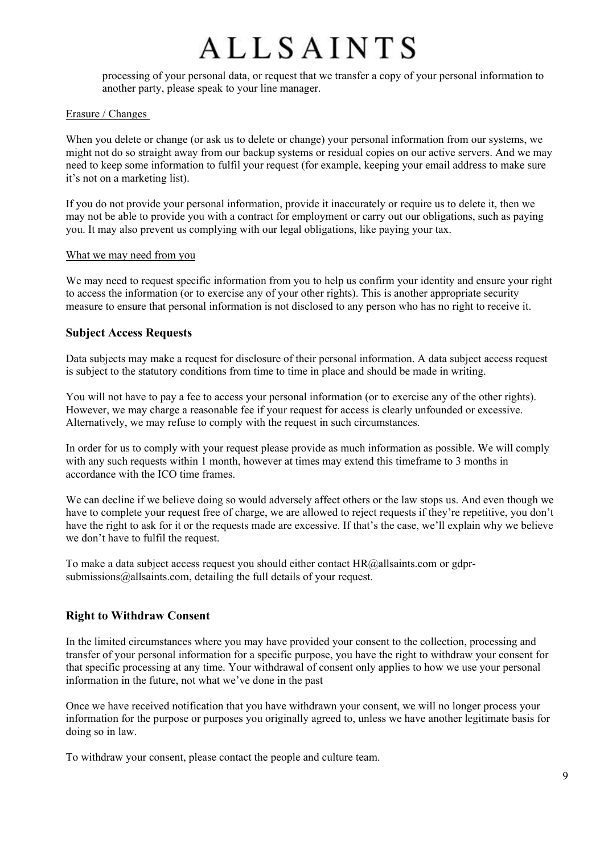processing of your personal data, or request that we transfer a copy of your personal information to another party, please speak to your line manager.

#### Erasure / Changes

When you delete or change (or ask us to delete or change) your personal information from our systems, we might not do so straight away from our backup systems or residual copies on our active servers. And we may need to keep some information to fulfil your request (for example, keeping your email address to make sure it's not on a marketing list).

If you do not provide your personal information, provide it inaccurately or require us to delete it, then we may not be able to provide you with a contract for employment or carry out our obligations, such as paying you. It may also prevent us complying with our legal obligations, like paying your tax.

#### What we may need from you

We may need to request specific information from you to help us confirm your identity and ensure your right to access the information (or to exercise any of your other rights). This is another appropriate security measure to ensure that personal information is not disclosed to any person who has no right to receive it.

## <span id="page-8-0"></span>**Subject Access Requests**

Data subjects may make a request for disclosure of their personal information. A data subject access request is subject to the statutory conditions from time to time in place and should be made in writing.

You will not have to pay a fee to access your personal information (or to exercise any of the other rights). However, we may charge a reasonable fee if your request for access is clearly unfounded or excessive. Alternatively, we may refuse to comply with the request in such circumstances.

In order for us to comply with your request please provide as much information as possible. We will comply with any such requests within 1 month, however at times may extend this timeframe to 3 months in accordance with the ICO time frames.

We can decline if we believe doing so would adversely affect others or the law stops us. And even though we have to complete your request free of charge, we are allowed to reject requests if they're repetitive, you don't have the right to ask for it or the requests made are excessive. If that's the case, we'll explain why we believe we don't have to fulfil the request.

To make a data subject access request you should either contact  $HR@$ allsaints.com or gdprsubmissions@allsaints.com, detailing the full details of your request.

## <span id="page-8-1"></span>**Right to Withdraw Consent**

In the limited circumstances where you may have provided your consent to the collection, processing and transfer of your personal information for a specific purpose, you have the right to withdraw your consent for that specific processing at any time. Your withdrawal of consent only applies to how we use your personal information in the future, not what we've done in the past

Once we have received notification that you have withdrawn your consent, we will no longer process your information for the purpose or purposes you originally agreed to, unless we have another legitimate basis for doing so in law.

To withdraw your consent, please contact the people and culture team.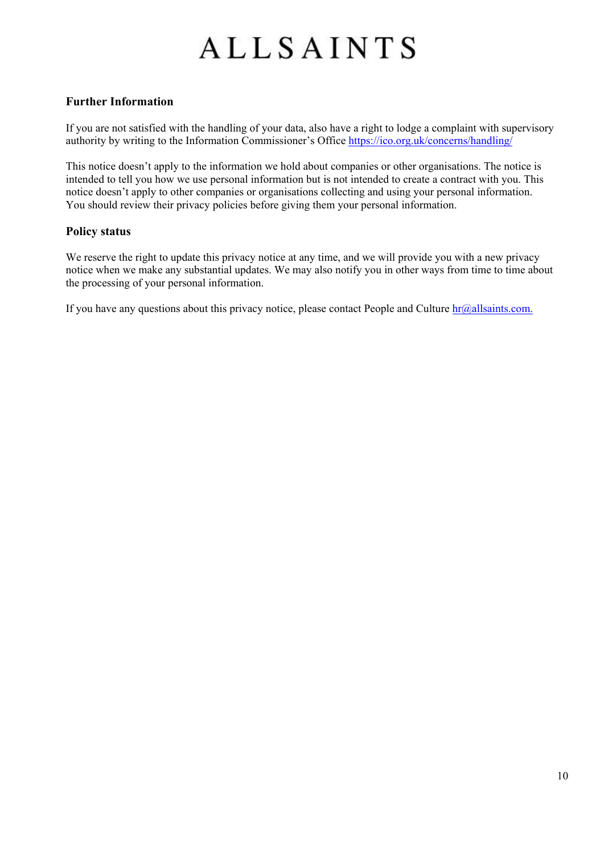## <span id="page-9-0"></span>**Further Information**

If you are not satisfied with the handling of your data, also have a right to lodge a complaint with supervisory authority by writing to the Information Commissioner's Office<https://ico.org.uk/concerns/handling/>

This notice doesn't apply to the information we hold about companies or other organisations. The notice is intended to tell you how we use personal information but is not intended to create a contract with you. This notice doesn't apply to other companies or organisations collecting and using your personal information. You should review their privacy policies before giving them your personal information.

## <span id="page-9-1"></span>**Policy status**

We reserve the right to update this privacy notice at any time, and we will provide you with a new privacy notice when we make any substantial updates. We may also notify you in other ways from time to time about the processing of your personal information.

If you have any questions about this privacy notice, please contact People and Culture  $\frac{\text{hr@allsaints.com}}{\text{cm@allsaints.com}}$ .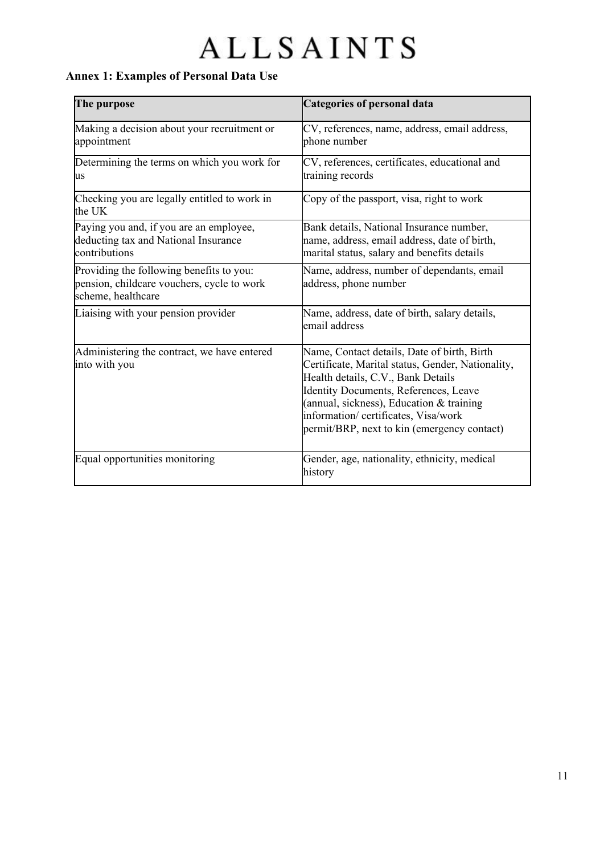## <span id="page-10-0"></span>**Annex 1: Examples of Personal Data Use**

| The purpose                                                                                                  | <b>Categories of personal data</b>                                                                                                                                                                                                                                                                                 |  |
|--------------------------------------------------------------------------------------------------------------|--------------------------------------------------------------------------------------------------------------------------------------------------------------------------------------------------------------------------------------------------------------------------------------------------------------------|--|
| Making a decision about your recruitment or<br>appointment                                                   | CV, references, name, address, email address,<br>phone number                                                                                                                                                                                                                                                      |  |
| Determining the terms on which you work for<br>us                                                            | CV, references, certificates, educational and<br>training records                                                                                                                                                                                                                                                  |  |
| Checking you are legally entitled to work in<br>the UK                                                       | Copy of the passport, visa, right to work                                                                                                                                                                                                                                                                          |  |
| Paying you and, if you are an employee,<br>deducting tax and National Insurance<br>contributions             | Bank details, National Insurance number,<br>name, address, email address, date of birth,<br>marital status, salary and benefits details                                                                                                                                                                            |  |
| Providing the following benefits to you:<br>pension, childcare vouchers, cycle to work<br>scheme, healthcare | Name, address, number of dependants, email<br>address, phone number                                                                                                                                                                                                                                                |  |
| Liaising with your pension provider                                                                          | Name, address, date of birth, salary details,<br>email address                                                                                                                                                                                                                                                     |  |
| Administering the contract, we have entered<br>into with you                                                 | Name, Contact details, Date of birth, Birth<br>Certificate, Marital status, Gender, Nationality,<br>Health details, C.V., Bank Details<br>Identity Documents, References, Leave<br>(annual, sickness), Education & training<br>information/ certificates, Visa/work<br>permit/BRP, next to kin (emergency contact) |  |
| Equal opportunities monitoring                                                                               | Gender, age, nationality, ethnicity, medical<br>history                                                                                                                                                                                                                                                            |  |